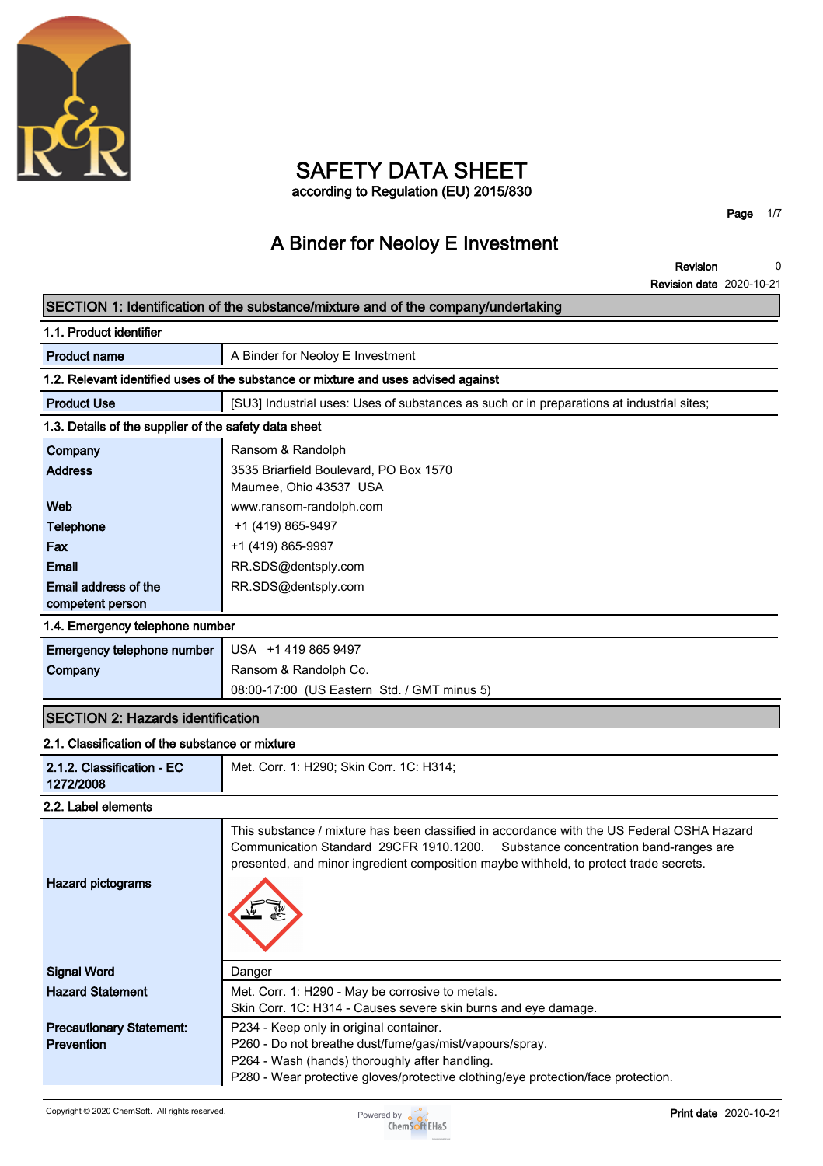

### **SAFETY DATA SHEET according to Regulation (EU) 2015/830**

**Page 1/7**

# **A Binder for Neoloy E Investment**

**Revision Revision date 2020-10-21 0**

### **SECTION 1: Identification of the substance/mixture and of the company/undertaking**

| 1.1. Product identifier                                                            |                                                                                           |  |
|------------------------------------------------------------------------------------|-------------------------------------------------------------------------------------------|--|
| <b>Product name</b>                                                                | A Binder for Neoloy E Investment                                                          |  |
| 1.2. Relevant identified uses of the substance or mixture and uses advised against |                                                                                           |  |
| <b>Product Use</b>                                                                 | [SU3] Industrial uses: Uses of substances as such or in preparations at industrial sites; |  |
| 1.3. Details of the supplier of the safety data sheet                              |                                                                                           |  |
| Company                                                                            | Ransom & Randolph                                                                         |  |
| <b>Address</b>                                                                     | 3535 Briarfield Boulevard, PO Box 1570                                                    |  |
|                                                                                    | Maumee, Ohio 43537 USA                                                                    |  |
| Web                                                                                | www.ransom-randolph.com                                                                   |  |
| <b>Telephone</b>                                                                   | +1 (419) 865-9497                                                                         |  |
| Fax                                                                                | +1 (419) 865-9997                                                                         |  |
| Email                                                                              | RR.SDS@dentsply.com                                                                       |  |
| Email address of the                                                               | RR.SDS@dentsply.com                                                                       |  |
| competent person                                                                   |                                                                                           |  |
| 1.4. Emergency telephone number                                                    |                                                                                           |  |
| <b>Emergency telephone number</b>                                                  | USA +1 419 865 9497                                                                       |  |
| Company                                                                            | Ransom & Randolph Co.                                                                     |  |
|                                                                                    | 08:00-17:00 (US Eastern Std. / GMT minus 5)                                               |  |
| <b>SECTION 2: Hazards identification</b>                                           |                                                                                           |  |
| 2.1. Classification of the substance or mixture                                    |                                                                                           |  |
| 2.1.2. Classification - EC<br>1272/2008                                            | Met. Corr. 1: H290; Skin Corr. 1C: H314;                                                  |  |
| 2.2. Label elements                                                                |                                                                                           |  |

| Hazard pictograms               | This substance / mixture has been classified in accordance with the US Federal OSHA Hazard<br>Communication Standard 29CFR 1910.1200. Substance concentration band-ranges are<br>presented, and minor ingredient composition maybe withheld, to protect trade secrets. |
|---------------------------------|------------------------------------------------------------------------------------------------------------------------------------------------------------------------------------------------------------------------------------------------------------------------|
| <b>Signal Word</b>              | Danger                                                                                                                                                                                                                                                                 |
| <b>Hazard Statement</b>         | Met. Corr. 1: H290 - May be corrosive to metals.                                                                                                                                                                                                                       |
|                                 | Skin Corr. 1C: H314 - Causes severe skin burns and eye damage.                                                                                                                                                                                                         |
| <b>Precautionary Statement:</b> | P234 - Keep only in original container.                                                                                                                                                                                                                                |
| <b>Prevention</b>               | P260 - Do not breathe dust/fume/gas/mist/vapours/spray.                                                                                                                                                                                                                |
|                                 | P264 - Wash (hands) thoroughly after handling.                                                                                                                                                                                                                         |
|                                 | P280 - Wear protective gloves/protective clothing/eye protection/face protection.                                                                                                                                                                                      |

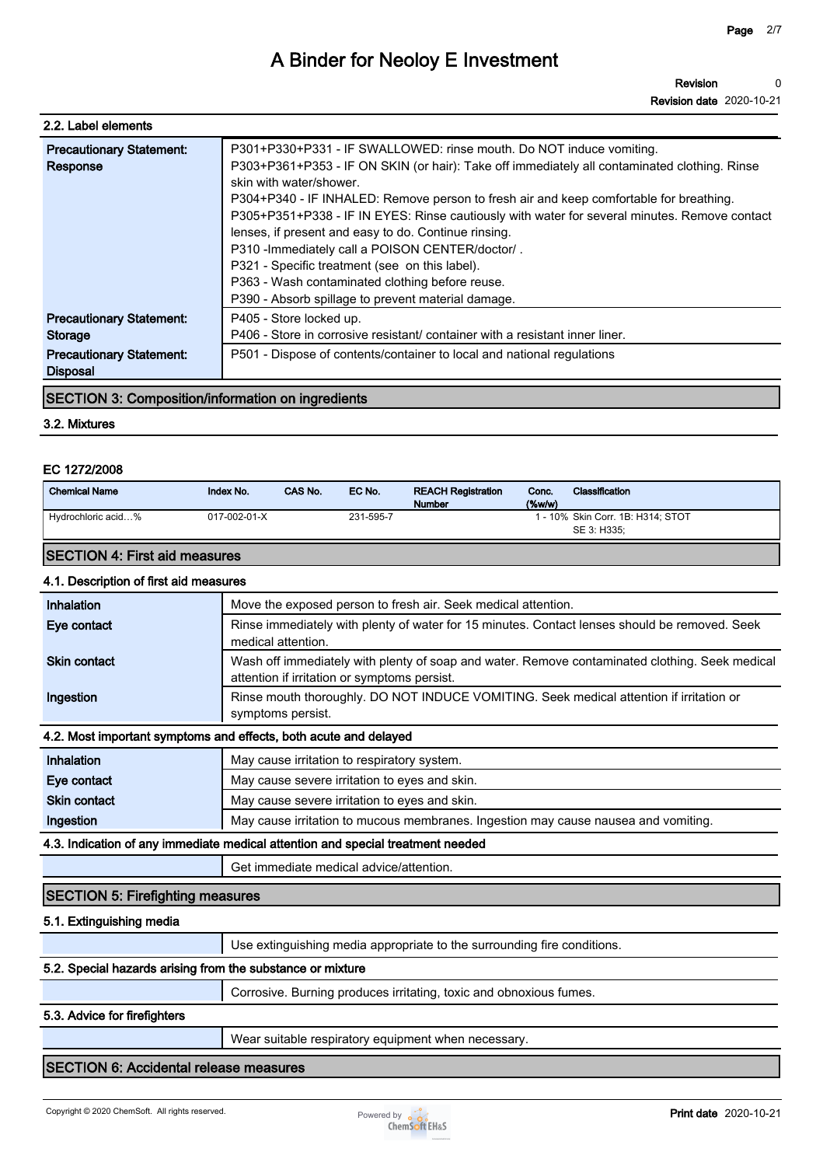| 2.2. Label elements                                                                              |                                                                                                                                                                                                                                                                                                                                                                                                                                                  |
|--------------------------------------------------------------------------------------------------|--------------------------------------------------------------------------------------------------------------------------------------------------------------------------------------------------------------------------------------------------------------------------------------------------------------------------------------------------------------------------------------------------------------------------------------------------|
| <b>Precautionary Statement:</b><br>Response                                                      | P301+P330+P331 - IF SWALLOWED: rinse mouth. Do NOT induce vomiting.<br>P303+P361+P353 - IF ON SKIN (or hair): Take off immediately all contaminated clothing. Rinse<br>skin with water/shower.<br>P304+P340 - IF INHALED: Remove person to fresh air and keep comfortable for breathing.<br>P305+P351+P338 - IF IN EYES: Rinse cautiously with water for several minutes. Remove contact<br>lenses, if present and easy to do. Continue rinsing. |
|                                                                                                  | P310 - Immediately call a POISON CENTER/doctor/.<br>P321 - Specific treatment (see on this label).<br>P363 - Wash contaminated clothing before reuse.<br>P390 - Absorb spillage to prevent material damage.                                                                                                                                                                                                                                      |
| <b>Precautionary Statement:</b><br>Storage<br><b>Precautionary Statement:</b><br><b>Disposal</b> | P405 - Store locked up.<br>P406 - Store in corrosive resistant/ container with a resistant inner liner.<br>P501 - Dispose of contents/container to local and national regulations                                                                                                                                                                                                                                                                |

### **SECTION 3: Composition/information on ingredients**

### **3.2. Mixtures**

### **EC 1272/2008**

| <b>Chemical Name</b> | Index No.    | CAS No. | EC No.    | <b>REACH Registration</b><br><b>Number</b> | Conc.<br>$(\%w/w)$ | <b>Classification</b>                            |
|----------------------|--------------|---------|-----------|--------------------------------------------|--------------------|--------------------------------------------------|
| Hydrochloric acid%   | 017-002-01-X |         | 231-595-7 |                                            |                    | 1 - 10% Skin Corr. 1B: H314: STOT<br>SE 3: H335: |

### **SECTION 4: First aid measures**

**4.1. Description of first aid measures**

| 4.1. Description of first ald measures                           |                                                                                                                                                |  |
|------------------------------------------------------------------|------------------------------------------------------------------------------------------------------------------------------------------------|--|
| <b>Inhalation</b>                                                | Move the exposed person to fresh air. Seek medical attention.                                                                                  |  |
| Eye contact                                                      | Rinse immediately with plenty of water for 15 minutes. Contact lenses should be removed. Seek<br>medical attention.                            |  |
| <b>Skin contact</b>                                              | Wash off immediately with plenty of soap and water. Remove contaminated clothing. Seek medical<br>attention if irritation or symptoms persist. |  |
| Ingestion                                                        | Rinse mouth thoroughly. DO NOT INDUCE VOMITING. Seek medical attention if irritation or<br>symptoms persist.                                   |  |
| 4.2. Most important symptoms and effects, both acute and delayed |                                                                                                                                                |  |
| المتماز المتماسين                                                | Maii salisa budbaban ta nashindan calistan                                                                                                     |  |

| Inhalation          | May cause irritation to respiratory system.                                        |
|---------------------|------------------------------------------------------------------------------------|
| Eye contact         | May cause severe irritation to eyes and skin.                                      |
| <b>Skin contact</b> | May cause severe irritation to eyes and skin.                                      |
| Ingestion           | May cause irritation to mucous membranes. Ingestion may cause nausea and vomiting. |

#### **4.3. Indication of any immediate medical attention and special treatment needed**

**Get immediate medical advice/attention.**

### **SECTION 5: Firefighting measures**

### **5.1. Extinguishing media**

**Use extinguishing media appropriate to the surrounding fire conditions.**

### **5.2. Special hazards arising from the substance or mixture**

**Corrosive. Burning produces irritating, toxic and obnoxious fumes.**

#### **5.3. Advice for firefighters**

**Wear suitable respiratory equipment when necessary.**

### **SECTION 6: Accidental release measures**

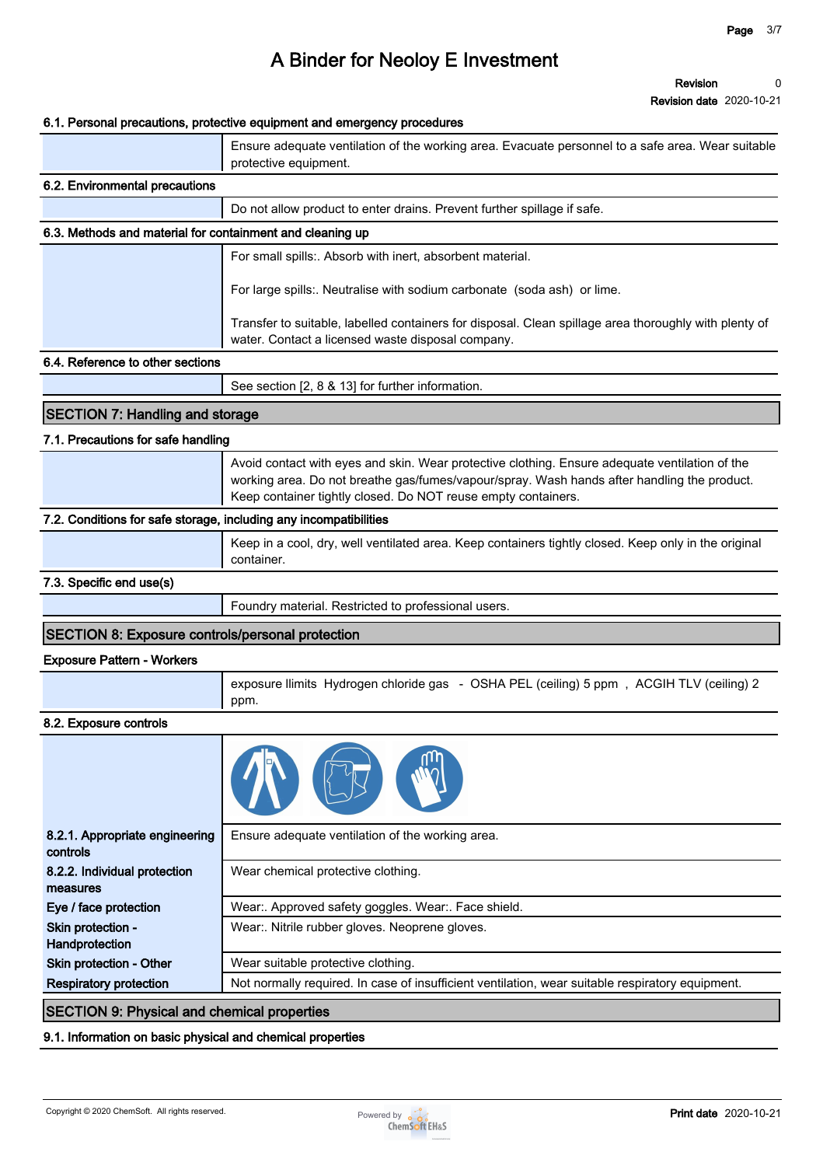**Revision date 2020-10-21**

|                                                                   | 6.1. Personal precautions, protective equipment and emergency procedures                                                                                                                                                                                       |
|-------------------------------------------------------------------|----------------------------------------------------------------------------------------------------------------------------------------------------------------------------------------------------------------------------------------------------------------|
|                                                                   | Ensure adequate ventilation of the working area. Evacuate personnel to a safe area. Wear suitable<br>protective equipment.                                                                                                                                     |
| 6.2. Environmental precautions                                    |                                                                                                                                                                                                                                                                |
|                                                                   | Do not allow product to enter drains. Prevent further spillage if safe.                                                                                                                                                                                        |
| 6.3. Methods and material for containment and cleaning up         |                                                                                                                                                                                                                                                                |
|                                                                   | For small spills:. Absorb with inert, absorbent material.                                                                                                                                                                                                      |
|                                                                   | For large spills:. Neutralise with sodium carbonate (soda ash) or lime.                                                                                                                                                                                        |
|                                                                   | Transfer to suitable, labelled containers for disposal. Clean spillage area thoroughly with plenty of<br>water. Contact a licensed waste disposal company.                                                                                                     |
| 6.4. Reference to other sections                                  |                                                                                                                                                                                                                                                                |
|                                                                   | See section [2, 8 & 13] for further information.                                                                                                                                                                                                               |
| <b>SECTION 7: Handling and storage</b>                            |                                                                                                                                                                                                                                                                |
|                                                                   |                                                                                                                                                                                                                                                                |
| 7.1. Precautions for safe handling                                |                                                                                                                                                                                                                                                                |
|                                                                   | Avoid contact with eyes and skin. Wear protective clothing. Ensure adequate ventilation of the<br>working area. Do not breathe gas/fumes/vapour/spray. Wash hands after handling the product.<br>Keep container tightly closed. Do NOT reuse empty containers. |
| 7.2. Conditions for safe storage, including any incompatibilities |                                                                                                                                                                                                                                                                |
|                                                                   | Keep in a cool, dry, well ventilated area. Keep containers tightly closed. Keep only in the original<br>container.                                                                                                                                             |
| 7.3. Specific end use(s)                                          |                                                                                                                                                                                                                                                                |
|                                                                   | Foundry material. Restricted to professional users.                                                                                                                                                                                                            |
| <b>SECTION 8: Exposure controls/personal protection</b>           |                                                                                                                                                                                                                                                                |
| <b>Exposure Pattern - Workers</b>                                 |                                                                                                                                                                                                                                                                |
|                                                                   | exposure llimits Hydrogen chloride gas - OSHA PEL (ceiling) 5 ppm, ACGIH TLV (ceiling) 2<br>ppm.                                                                                                                                                               |
| 8.2. Exposure controls                                            |                                                                                                                                                                                                                                                                |
|                                                                   |                                                                                                                                                                                                                                                                |
| 8.2.1. Appropriate engineering<br>controls                        | Ensure adequate ventilation of the working area.                                                                                                                                                                                                               |
| 8.2.2. Individual protection<br>measures                          | Wear chemical protective clothing.                                                                                                                                                                                                                             |
| Eye / face protection                                             | Wear:. Approved safety goggles. Wear:. Face shield.                                                                                                                                                                                                            |
| Skin protection -<br>Handprotection                               | Wear:. Nitrile rubber gloves. Neoprene gloves.                                                                                                                                                                                                                 |
| Skin protection - Other                                           | Wear suitable protective clothing.                                                                                                                                                                                                                             |
| <b>Respiratory protection</b>                                     | Not normally required. In case of insufficient ventilation, wear suitable respiratory equipment.                                                                                                                                                               |

### **SECTION 9: Physical and chemical properties**

### **9.1. Information on basic physical and chemical properties**

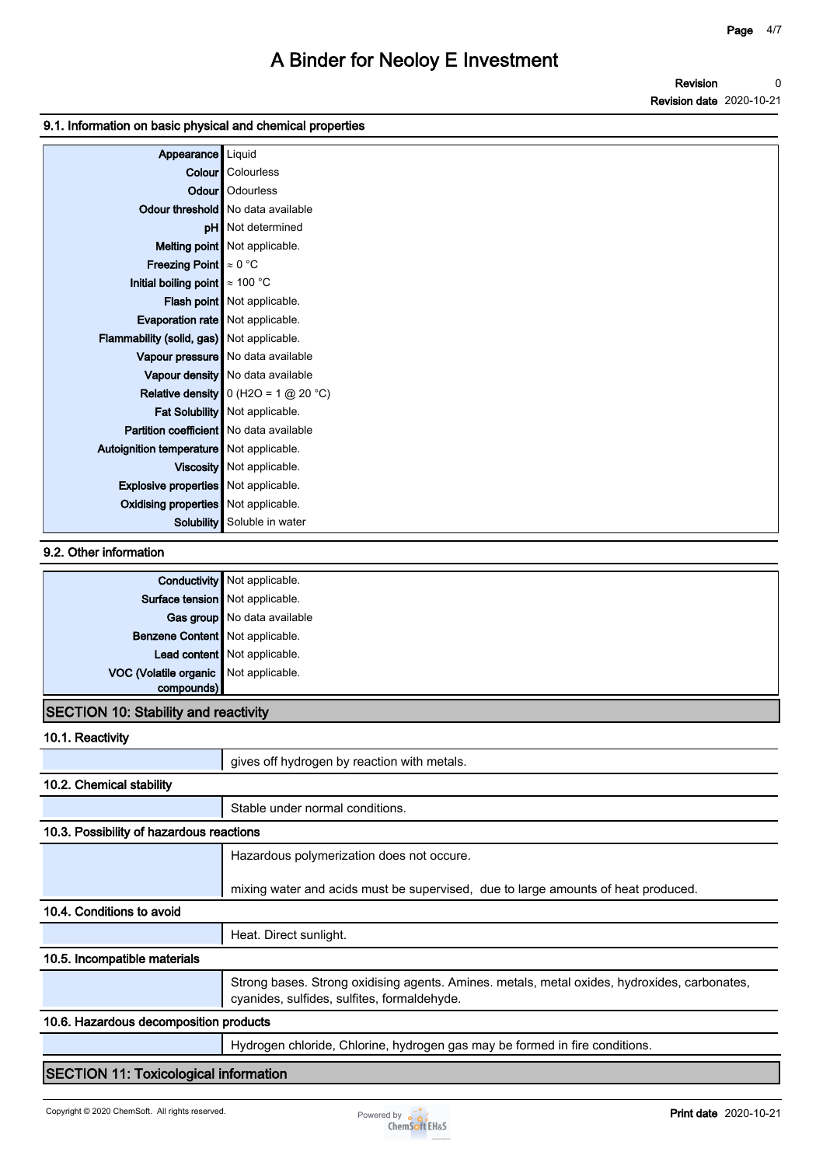### **9.1. Information on basic physical and chemical properties**

| Appearance Liquid                           |                                          |
|---------------------------------------------|------------------------------------------|
|                                             | <b>Colour</b> Colourless                 |
|                                             | Odour   Odourless                        |
|                                             | Odour threshold   No data available      |
|                                             | <b>pH</b> Not determined                 |
|                                             | Melting point Not applicable.            |
| <b>Freezing Point</b> $\approx 0$ °C        |                                          |
| Initial boiling point $\approx 100$ °C      |                                          |
|                                             | Flash point   Not applicable.            |
| Evaporation rate   Not applicable.          |                                          |
| Flammability (solid, gas) Not applicable.   |                                          |
|                                             | Vapour pressure   No data available      |
|                                             | Vapour density No data available         |
|                                             | Relative density $0$ (H2O = 1 $@$ 20 °C) |
|                                             | Fat Solubility   Not applicable.         |
| Partition coefficient   No data available   |                                          |
| Autoignition temperature   Not applicable.  |                                          |
|                                             | Viscosity   Not applicable.              |
| <b>Explosive properties</b> Not applicable. |                                          |
| Oxidising properties Not applicable.        |                                          |
|                                             | <b>Solubility</b> Soluble in water       |

### **9.2. Other information**

|                                             | <b>Conductivity</b> Not applicable. |
|---------------------------------------------|-------------------------------------|
| Surface tension Not applicable.             |                                     |
|                                             | Gas group   No data available       |
| Benzene Content Not applicable.             |                                     |
|                                             | Lead content Not applicable.        |
| VOC (Volatile organic Not applicable.       |                                     |
| compounds)                                  |                                     |
| <b>SECTION 10: Stability and reactivity</b> |                                     |

#### **10.1. Reactivity**

| <b>IV.I.INGGUUVILY</b>                       |                                                                                                                                             |  |
|----------------------------------------------|---------------------------------------------------------------------------------------------------------------------------------------------|--|
|                                              | gives off hydrogen by reaction with metals.                                                                                                 |  |
| 10.2. Chemical stability                     |                                                                                                                                             |  |
|                                              | Stable under normal conditions.                                                                                                             |  |
| 10.3. Possibility of hazardous reactions     |                                                                                                                                             |  |
|                                              | Hazardous polymerization does not occure.                                                                                                   |  |
|                                              | mixing water and acids must be supervised, due to large amounts of heat produced.                                                           |  |
| 10.4. Conditions to avoid                    |                                                                                                                                             |  |
|                                              | Heat. Direct sunlight.                                                                                                                      |  |
| 10.5. Incompatible materials                 |                                                                                                                                             |  |
|                                              | Strong bases. Strong oxidising agents. Amines. metals, metal oxides, hydroxides, carbonates,<br>cyanides, sulfides, sulfites, formaldehyde. |  |
| 10.6. Hazardous decomposition products       |                                                                                                                                             |  |
|                                              | Hydrogen chloride, Chlorine, hydrogen gas may be formed in fire conditions.                                                                 |  |
| <b>SECTION 11: Toxicological information</b> |                                                                                                                                             |  |

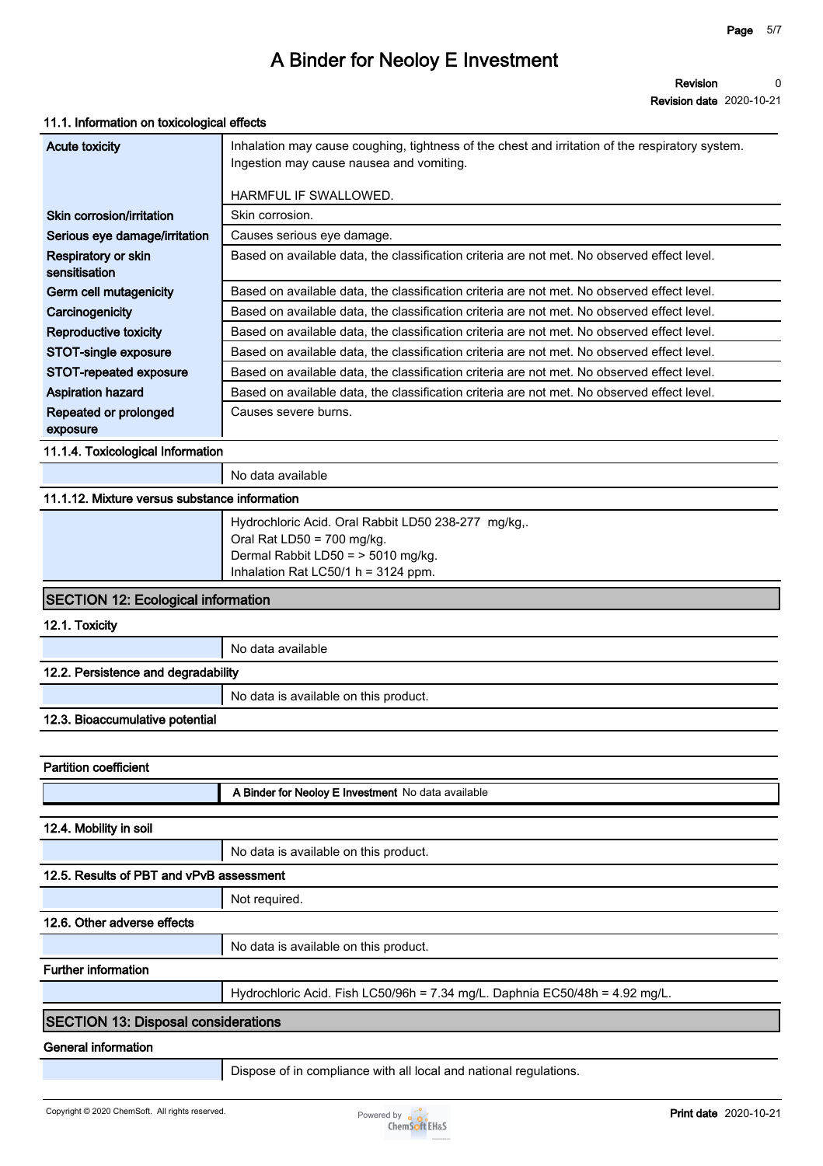**Revision Revision date 2020-10-21 0**

#### **11.1. Information on toxicological effects**

| Acute toxicity                       | Inhalation may cause coughing, tightness of the chest and irritation of the respiratory system.<br>Ingestion may cause nausea and vomiting. |
|--------------------------------------|---------------------------------------------------------------------------------------------------------------------------------------------|
|                                      | HARMFUL IF SWALLOWED.                                                                                                                       |
| Skin corrosion/irritation            | Skin corrosion.                                                                                                                             |
| Serious eye damage/irritation        | Causes serious eye damage.                                                                                                                  |
| Respiratory or skin<br>sensitisation | Based on available data, the classification criteria are not met. No observed effect level.                                                 |
| Germ cell mutagenicity               | Based on available data, the classification criteria are not met. No observed effect level.                                                 |
| Carcinogenicity                      | Based on available data, the classification criteria are not met. No observed effect level.                                                 |
| Reproductive toxicity                | Based on available data, the classification criteria are not met. No observed effect level.                                                 |
| STOT-single exposure                 | Based on available data, the classification criteria are not met. No observed effect level.                                                 |
| STOT-repeated exposure               | Based on available data, the classification criteria are not met. No observed effect level.                                                 |
| <b>Aspiration hazard</b>             | Based on available data, the classification criteria are not met. No observed effect level.                                                 |
| Repeated or prolonged                | Causes severe burns.                                                                                                                        |
| exposure                             |                                                                                                                                             |

**11.1.4. Toxicological Information**

### **11.1.12. Mixture versus substance information**

| Hydrochloric Acid. Oral Rabbit LD50 238-277 mg/kg,.<br>Oral Rat LD50 = $700 \text{ mg/kg}$ . |
|----------------------------------------------------------------------------------------------|
| Dermal Rabbit LD50 = > 5010 mg/kg.<br>Inhalation Rat LC50/1 $h = 3124$ ppm.                  |

### **SECTION 12: Ecological information**

**12.1. Toxicity**

**No data available**

### **12.2. Persistence and degradability**

**No data is available on this product.**

#### **12.3. Bioaccumulative potential**

| <b>Partition coefficient</b>               |                                                                             |  |
|--------------------------------------------|-----------------------------------------------------------------------------|--|
|                                            | A Binder for Neoloy E Investment No data available                          |  |
|                                            |                                                                             |  |
| 12.4. Mobility in soil                     |                                                                             |  |
|                                            | No data is available on this product.                                       |  |
| 12.5. Results of PBT and vPvB assessment   |                                                                             |  |
|                                            | Not required.                                                               |  |
| 12.6. Other adverse effects                |                                                                             |  |
|                                            | No data is available on this product.                                       |  |
| <b>Further information</b>                 |                                                                             |  |
|                                            | Hydrochloric Acid. Fish LC50/96h = 7.34 mg/L. Daphnia EC50/48h = 4.92 mg/L. |  |
| <b>SECTION 13: Disposal considerations</b> |                                                                             |  |
| General information                        |                                                                             |  |

**Dispose of in compliance with all local and national regulations.**

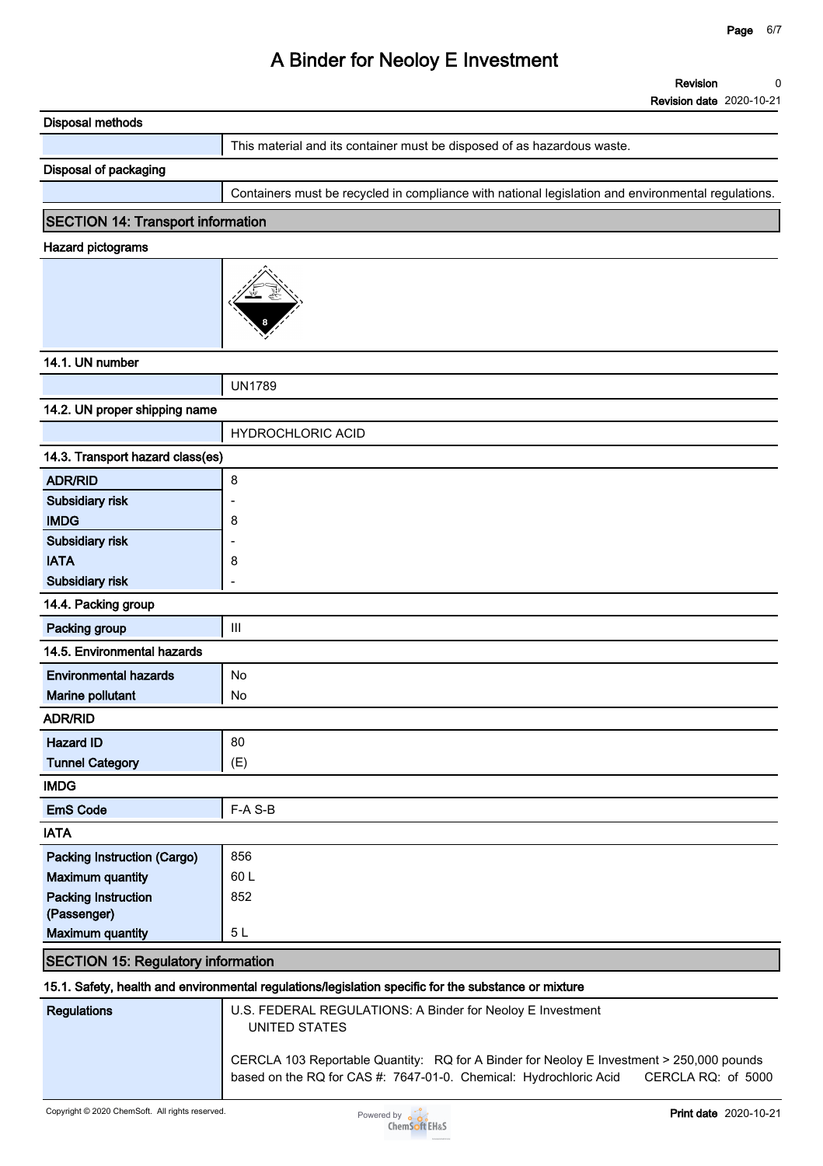| <b>Disposal methods</b>                   |                                                                                                                                                                                     |
|-------------------------------------------|-------------------------------------------------------------------------------------------------------------------------------------------------------------------------------------|
|                                           | This material and its container must be disposed of as hazardous waste.                                                                                                             |
| Disposal of packaging                     |                                                                                                                                                                                     |
|                                           | Containers must be recycled in compliance with national legislation and environmental regulations.                                                                                  |
| <b>SECTION 14: Transport information</b>  |                                                                                                                                                                                     |
| <b>Hazard pictograms</b>                  |                                                                                                                                                                                     |
|                                           |                                                                                                                                                                                     |
|                                           |                                                                                                                                                                                     |
| 14.1. UN number                           |                                                                                                                                                                                     |
|                                           | <b>UN1789</b>                                                                                                                                                                       |
| 14.2. UN proper shipping name             |                                                                                                                                                                                     |
|                                           | <b>HYDROCHLORIC ACID</b>                                                                                                                                                            |
| 14.3. Transport hazard class(es)          |                                                                                                                                                                                     |
| <b>ADR/RID</b>                            | 8                                                                                                                                                                                   |
| Subsidiary risk                           |                                                                                                                                                                                     |
| <b>IMDG</b>                               | 8                                                                                                                                                                                   |
| Subsidiary risk                           |                                                                                                                                                                                     |
| <b>IATA</b>                               | 8                                                                                                                                                                                   |
| Subsidiary risk                           |                                                                                                                                                                                     |
| 14.4. Packing group                       |                                                                                                                                                                                     |
| Packing group                             | $\mathbf{III}$                                                                                                                                                                      |
| 14.5. Environmental hazards               |                                                                                                                                                                                     |
| <b>Environmental hazards</b>              | No                                                                                                                                                                                  |
| Marine pollutant                          | No                                                                                                                                                                                  |
| <b>ADR/RID</b>                            |                                                                                                                                                                                     |
| <b>Hazard ID</b>                          | 80                                                                                                                                                                                  |
| <b>Tunnel Category</b>                    | (E)                                                                                                                                                                                 |
| <b>IMDG</b>                               |                                                                                                                                                                                     |
| <b>EmS Code</b>                           | F-A S-B                                                                                                                                                                             |
| <b>IATA</b>                               |                                                                                                                                                                                     |
| Packing Instruction (Cargo)               | 856                                                                                                                                                                                 |
| <b>Maximum quantity</b>                   | 60L                                                                                                                                                                                 |
| <b>Packing Instruction</b>                | 852                                                                                                                                                                                 |
| (Passenger)                               |                                                                                                                                                                                     |
| <b>Maximum quantity</b>                   | 5L                                                                                                                                                                                  |
| <b>SECTION 15: Regulatory information</b> |                                                                                                                                                                                     |
|                                           | 15.1. Safety, health and environmental regulations/legislation specific for the substance or mixture                                                                                |
| <b>Regulations</b>                        | U.S. FEDERAL REGULATIONS: A Binder for Neoloy E Investment<br><b>UNITED STATES</b>                                                                                                  |
|                                           | CERCLA 103 Reportable Quantity: RQ for A Binder for Neoloy E Investment > 250,000 pounds<br>based on the RQ for CAS #: 7647-01-0. Chemical: Hydrochloric Acid<br>CERCLA RQ: of 5000 |